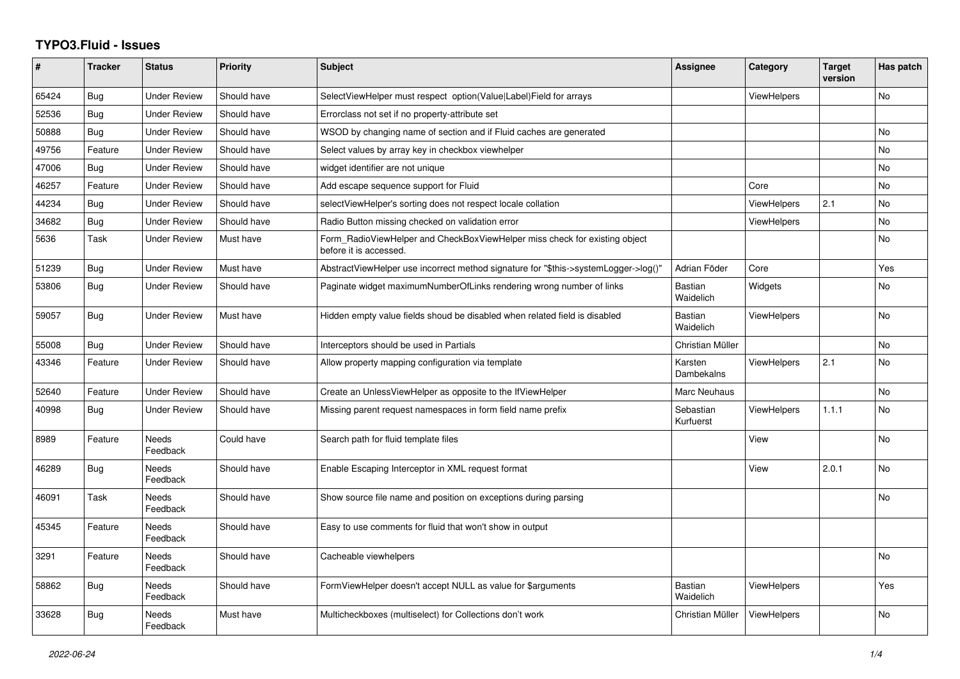## **TYPO3.Fluid - Issues**

| #     | <b>Tracker</b> | <b>Status</b>            | <b>Priority</b> | <b>Subject</b>                                                                                       | Assignee                    | Category           | <b>Target</b><br>version | Has patch      |
|-------|----------------|--------------------------|-----------------|------------------------------------------------------------------------------------------------------|-----------------------------|--------------------|--------------------------|----------------|
| 65424 | <b>Bug</b>     | <b>Under Review</b>      | Should have     | SelectViewHelper must respect option(Value Label)Field for arrays                                    |                             | <b>ViewHelpers</b> |                          | No             |
| 52536 | Bug            | Under Review             | Should have     | Errorclass not set if no property-attribute set                                                      |                             |                    |                          |                |
| 50888 | <b>Bug</b>     | <b>Under Review</b>      | Should have     | WSOD by changing name of section and if Fluid caches are generated                                   |                             |                    |                          | <b>No</b>      |
| 49756 | Feature        | Under Review             | Should have     | Select values by array key in checkbox viewhelper                                                    |                             |                    |                          | <b>No</b>      |
| 47006 | Bug            | Under Review             | Should have     | widget identifier are not unique                                                                     |                             |                    |                          | <b>No</b>      |
| 46257 | Feature        | <b>Under Review</b>      | Should have     | Add escape sequence support for Fluid                                                                |                             | Core               |                          | <b>No</b>      |
| 44234 | <b>Bug</b>     | <b>Under Review</b>      | Should have     | selectViewHelper's sorting does not respect locale collation                                         |                             | <b>ViewHelpers</b> | 2.1                      | <b>No</b>      |
| 34682 | Bug            | Under Review             | Should have     | Radio Button missing checked on validation error                                                     |                             | ViewHelpers        |                          | N <sub>o</sub> |
| 5636  | Task           | Under Review             | Must have       | Form RadioViewHelper and CheckBoxViewHelper miss check for existing object<br>before it is accessed. |                             |                    |                          | <b>No</b>      |
| 51239 | Bug            | <b>Under Review</b>      | Must have       | AbstractViewHelper use incorrect method signature for "\$this->systemLogger->log()"                  | Adrian Föder                | Core               |                          | Yes            |
| 53806 | <b>Bug</b>     | <b>Under Review</b>      | Should have     | Paginate widget maximumNumberOfLinks rendering wrong number of links                                 | Bastian<br>Waidelich        | Widgets            |                          | <b>No</b>      |
| 59057 | Bug            | <b>Under Review</b>      | Must have       | Hidden empty value fields shoud be disabled when related field is disabled                           | <b>Bastian</b><br>Waidelich | <b>ViewHelpers</b> |                          | <b>No</b>      |
| 55008 | Bug            | Under Review             | Should have     | Interceptors should be used in Partials                                                              | Christian Müller            |                    |                          | No             |
| 43346 | Feature        | <b>Under Review</b>      | Should have     | Allow property mapping configuration via template                                                    | Karsten<br>Dambekalns       | <b>ViewHelpers</b> | 2.1                      | <b>No</b>      |
| 52640 | Feature        | <b>Under Review</b>      | Should have     | Create an UnlessViewHelper as opposite to the IfViewHelper                                           | Marc Neuhaus                |                    |                          | <b>No</b>      |
| 40998 | <b>Bug</b>     | <b>Under Review</b>      | Should have     | Missing parent request namespaces in form field name prefix                                          | Sebastian<br>Kurfuerst      | <b>ViewHelpers</b> | 1.1.1                    | No             |
| 8989  | Feature        | <b>Needs</b><br>Feedback | Could have      | Search path for fluid template files                                                                 |                             | View               |                          | <b>No</b>      |
| 46289 | <b>Bug</b>     | Needs<br>Feedback        | Should have     | Enable Escaping Interceptor in XML request format                                                    |                             | View               | 2.0.1                    | <b>No</b>      |
| 46091 | Task           | Needs<br>Feedback        | Should have     | Show source file name and position on exceptions during parsing                                      |                             |                    |                          | N <sub>o</sub> |
| 45345 | Feature        | Needs<br>Feedback        | Should have     | Easy to use comments for fluid that won't show in output                                             |                             |                    |                          |                |
| 3291  | Feature        | <b>Needs</b><br>Feedback | Should have     | Cacheable viewhelpers                                                                                |                             |                    |                          | <b>No</b>      |
| 58862 | <b>Bug</b>     | <b>Needs</b><br>Feedback | Should have     | FormViewHelper doesn't accept NULL as value for \$arguments                                          | <b>Bastian</b><br>Waidelich | ViewHelpers        |                          | Yes            |
| 33628 | <b>Bug</b>     | Needs<br>Feedback        | Must have       | Multicheckboxes (multiselect) for Collections don't work                                             | Christian Müller            | ViewHelpers        |                          | <b>No</b>      |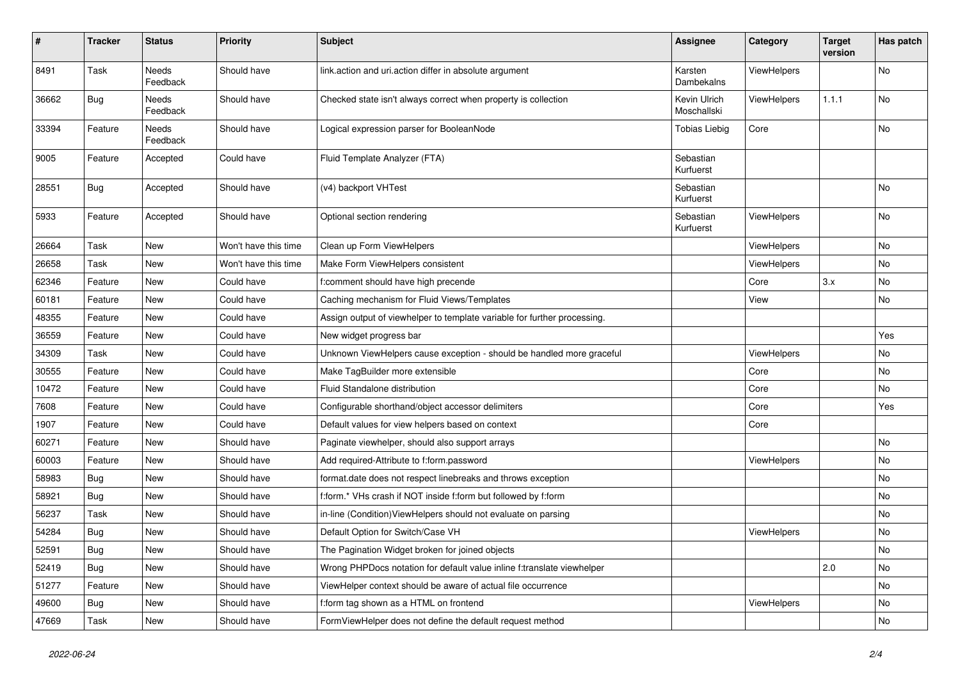| #     | <b>Tracker</b> | <b>Status</b>            | <b>Priority</b>      | <b>Subject</b>                                                           | <b>Assignee</b>             | Category    | <b>Target</b><br>version | Has patch |
|-------|----------------|--------------------------|----------------------|--------------------------------------------------------------------------|-----------------------------|-------------|--------------------------|-----------|
| 8491  | Task           | <b>Needs</b><br>Feedback | Should have          | link.action and uri.action differ in absolute argument                   | Karsten<br>Dambekalns       | ViewHelpers |                          | No        |
| 36662 | <b>Bug</b>     | Needs<br>Feedback        | Should have          | Checked state isn't always correct when property is collection           | Kevin Ulrich<br>Moschallski | ViewHelpers | 1.1.1                    | No        |
| 33394 | Feature        | Needs<br>Feedback        | Should have          | Logical expression parser for BooleanNode                                | <b>Tobias Liebig</b>        | Core        |                          | No        |
| 9005  | Feature        | Accepted                 | Could have           | Fluid Template Analyzer (FTA)                                            | Sebastian<br>Kurfuerst      |             |                          |           |
| 28551 | <b>Bug</b>     | Accepted                 | Should have          | (v4) backport VHTest                                                     | Sebastian<br>Kurfuerst      |             |                          | No        |
| 5933  | Feature        | Accepted                 | Should have          | Optional section rendering                                               | Sebastian<br>Kurfuerst      | ViewHelpers |                          | No        |
| 26664 | Task           | New                      | Won't have this time | Clean up Form ViewHelpers                                                |                             | ViewHelpers |                          | No        |
| 26658 | Task           | New                      | Won't have this time | Make Form ViewHelpers consistent                                         |                             | ViewHelpers |                          | No        |
| 62346 | Feature        | New                      | Could have           | f:comment should have high precende                                      |                             | Core        | 3.x                      | No        |
| 60181 | Feature        | New                      | Could have           | Caching mechanism for Fluid Views/Templates                              |                             | View        |                          | No        |
| 48355 | Feature        | New                      | Could have           | Assign output of viewhelper to template variable for further processing. |                             |             |                          |           |
| 36559 | Feature        | New                      | Could have           | New widget progress bar                                                  |                             |             |                          | Yes       |
| 34309 | Task           | New                      | Could have           | Unknown ViewHelpers cause exception - should be handled more graceful    |                             | ViewHelpers |                          | No        |
| 30555 | Feature        | New                      | Could have           | Make TagBuilder more extensible                                          |                             | Core        |                          | No        |
| 10472 | Feature        | New                      | Could have           | Fluid Standalone distribution                                            |                             | Core        |                          | No        |
| 7608  | Feature        | New                      | Could have           | Configurable shorthand/object accessor delimiters                        |                             | Core        |                          | Yes       |
| 1907  | Feature        | New                      | Could have           | Default values for view helpers based on context                         |                             | Core        |                          |           |
| 60271 | Feature        | New                      | Should have          | Paginate viewhelper, should also support arrays                          |                             |             |                          | No        |
| 60003 | Feature        | New                      | Should have          | Add required-Attribute to f:form.password                                |                             | ViewHelpers |                          | No        |
| 58983 | Bug            | New                      | Should have          | format.date does not respect linebreaks and throws exception             |                             |             |                          | No        |
| 58921 | Bug            | New                      | Should have          | f:form.* VHs crash if NOT inside f:form but followed by f:form           |                             |             |                          | No        |
| 56237 | Task           | New                      | Should have          | in-line (Condition) ViewHelpers should not evaluate on parsing           |                             |             |                          | No        |
| 54284 | Bug            | New                      | Should have          | Default Option for Switch/Case VH                                        |                             | ViewHelpers |                          | No        |
| 52591 | Bug            | New                      | Should have          | The Pagination Widget broken for joined objects                          |                             |             |                          | No        |
| 52419 | Bug            | New                      | Should have          | Wrong PHPDocs notation for default value inline f:translate viewhelper   |                             |             | 2.0                      | No        |
| 51277 | Feature        | New                      | Should have          | ViewHelper context should be aware of actual file occurrence             |                             |             |                          | No        |
| 49600 | <b>Bug</b>     | New                      | Should have          | f:form tag shown as a HTML on frontend                                   |                             | ViewHelpers |                          | No        |
| 47669 | Task           | New                      | Should have          | FormViewHelper does not define the default request method                |                             |             |                          | No        |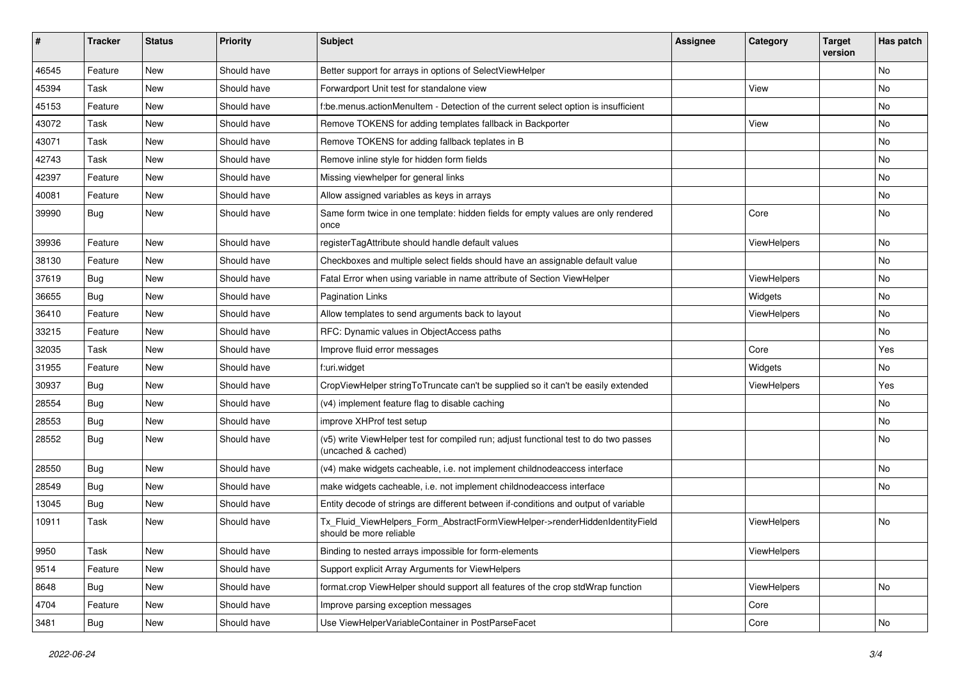| ∦     | <b>Tracker</b> | <b>Status</b> | <b>Priority</b> | <b>Subject</b>                                                                                              | Assignee | Category    | <b>Target</b><br>version | Has patch     |
|-------|----------------|---------------|-----------------|-------------------------------------------------------------------------------------------------------------|----------|-------------|--------------------------|---------------|
| 46545 | Feature        | New           | Should have     | Better support for arrays in options of SelectViewHelper                                                    |          |             |                          | No            |
| 45394 | Task           | New           | Should have     | Forwardport Unit test for standalone view                                                                   |          | View        |                          | No            |
| 45153 | Feature        | New           | Should have     | f:be.menus.actionMenuItem - Detection of the current select option is insufficient                          |          |             |                          | No            |
| 43072 | Task           | New           | Should have     | Remove TOKENS for adding templates fallback in Backporter                                                   |          | View        |                          | No            |
| 43071 | Task           | New           | Should have     | Remove TOKENS for adding fallback teplates in B                                                             |          |             |                          | No            |
| 42743 | Task           | New           | Should have     | Remove inline style for hidden form fields                                                                  |          |             |                          | No            |
| 42397 | Feature        | New           | Should have     | Missing viewhelper for general links                                                                        |          |             |                          | No            |
| 40081 | Feature        | New           | Should have     | Allow assigned variables as keys in arrays                                                                  |          |             |                          | No            |
| 39990 | Bug            | New           | Should have     | Same form twice in one template: hidden fields for empty values are only rendered<br>once                   |          | Core        |                          | No            |
| 39936 | Feature        | <b>New</b>    | Should have     | registerTagAttribute should handle default values                                                           |          | ViewHelpers |                          | No            |
| 38130 | Feature        | New           | Should have     | Checkboxes and multiple select fields should have an assignable default value                               |          |             |                          | No            |
| 37619 | <b>Bug</b>     | New           | Should have     | Fatal Error when using variable in name attribute of Section ViewHelper                                     |          | ViewHelpers |                          | No            |
| 36655 | Bug            | New           | Should have     | <b>Pagination Links</b>                                                                                     |          | Widgets     |                          | No            |
| 36410 | Feature        | New           | Should have     | Allow templates to send arguments back to layout                                                            |          | ViewHelpers |                          | No            |
| 33215 | Feature        | New           | Should have     | RFC: Dynamic values in ObjectAccess paths                                                                   |          |             |                          | No            |
| 32035 | Task           | New           | Should have     | Improve fluid error messages                                                                                |          | Core        |                          | Yes           |
| 31955 | Feature        | New           | Should have     | f:uri.widget                                                                                                |          | Widgets     |                          | No            |
| 30937 | Bug            | <b>New</b>    | Should have     | CropViewHelper stringToTruncate can't be supplied so it can't be easily extended                            |          | ViewHelpers |                          | Yes           |
| 28554 | Bug            | New           | Should have     | (v4) implement feature flag to disable caching                                                              |          |             |                          | No            |
| 28553 | <b>Bug</b>     | New           | Should have     | improve XHProf test setup                                                                                   |          |             |                          | No            |
| 28552 | Bug            | New           | Should have     | (v5) write ViewHelper test for compiled run; adjust functional test to do two passes<br>(uncached & cached) |          |             |                          | No            |
| 28550 | Bug            | New           | Should have     | (v4) make widgets cacheable, i.e. not implement childnodeaccess interface                                   |          |             |                          | No            |
| 28549 | <b>Bug</b>     | New           | Should have     | make widgets cacheable, i.e. not implement childnodeaccess interface                                        |          |             |                          | No            |
| 13045 | <b>Bug</b>     | New           | Should have     | Entity decode of strings are different between if-conditions and output of variable                         |          |             |                          |               |
| 10911 | Task           | New           | Should have     | Tx Fluid ViewHelpers Form AbstractFormViewHelper->renderHiddenIdentityField<br>should be more reliable      |          | ViewHelpers |                          | No            |
| 9950  | Task           | New           | Should have     | Binding to nested arrays impossible for form-elements                                                       |          | ViewHelpers |                          |               |
| 9514  | Feature        | New           | Should have     | Support explicit Array Arguments for ViewHelpers                                                            |          |             |                          |               |
| 8648  | <b>Bug</b>     | New           | Should have     | format.crop ViewHelper should support all features of the crop stdWrap function                             |          | ViewHelpers |                          | No            |
| 4704  | Feature        | New           | Should have     | Improve parsing exception messages                                                                          |          | Core        |                          |               |
| 3481  | Bug            | New           | Should have     | Use ViewHelperVariableContainer in PostParseFacet                                                           |          | Core        |                          | $\mathsf{No}$ |